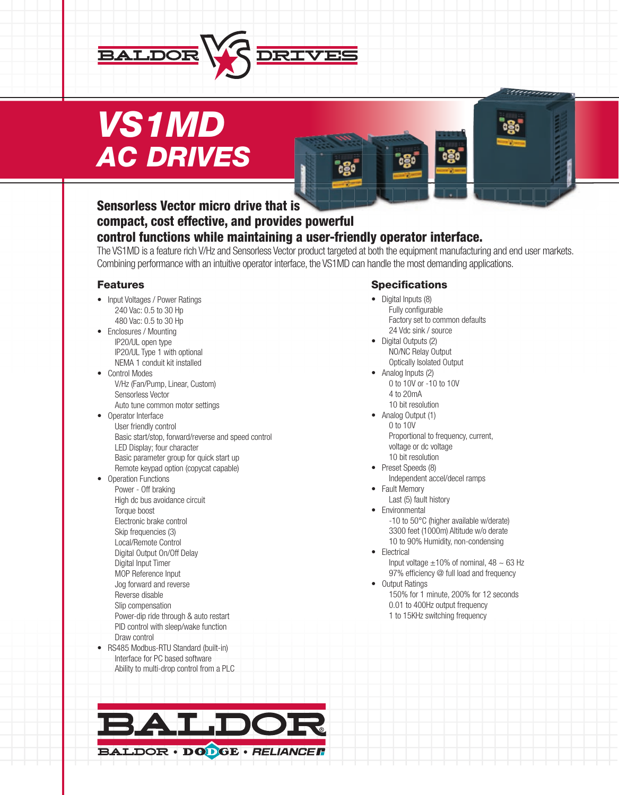

# *VS1MD AC DRIVES*

# Sensorless Vector micro drive that is compact, cost effective, and provides powerful

# control functions while maintaining a user-friendly operator interface.

The VS1MD is a feature rich V/Hz and Sensorless Vector product targeted at both the equipment manufacturing and end user markets. Combining performance with an intuitive operator interface, the VS1MD can handle the most demanding applications.

#### Features

- Input Voltages / Power Ratings 240 Vac: 0.5 to 30 Hp 480 Vac: 0.5 to 30 Hp
- Enclosures / Mounting IP20/UL open type IP20/UL Type 1 with optional NEMA 1 conduit kit installed
- Control Modes V/Hz (Fan/Pump, Linear, Custom) Sensorless Vector
- Auto tune common motor settings • Operator Interface
- User friendly control Basic start/stop, forward/reverse and speed control LED Display; four character Basic parameter group for quick start up Remote keypad option (copycat capable)
- Operation Functions Power - Off braking High dc bus avoidance circuit Torque boost Electronic brake control Skip frequencies (3) Local/Remote Control Digital Output On/Off Delay Digital Input Timer MOP Reference Input Jog forward and reverse Reverse disable Slip compensation Power-dip ride through & auto restart PID control with sleep/wake function Draw control • RS485 Modbus-RTU Standard (built-in)
- Interface for PC based software Ability to multi-drop control from a PLC

#### **Specifications**

- Digital Inputs (8) Fully configurable Factory set to common defaults 24 Vdc sink / source
- Digital Outputs (2) NO/NC Relay Output Optically Isolated Output
- Analog Inputs (2) 0 to 10V or -10 to 10V 4 to 20mA 10 bit resolution
- Analog Output (1) 0 to 10V Proportional to frequency, current, voltage or dc voltage
- 10 bit resolution • Preset Speeds (8)
- Independent accel/decel ramps
- Fault Memory
	- Last (5) fault history
- Environmental -10 to 50°C (higher available w/derate) 3300 feet (1000m) Altitude w/o derate 10 to 90% Humidity, non-condensing
- Electrical Input voltage  $\pm 10\%$  of nominal, 48  $\sim 63$  Hz 97% efficiency @ full load and frequency
- Output Ratings 150% for 1 minute, 200% for 12 seconds 0.01 to 400Hz output frequency 1 to 15KHz switching frequency

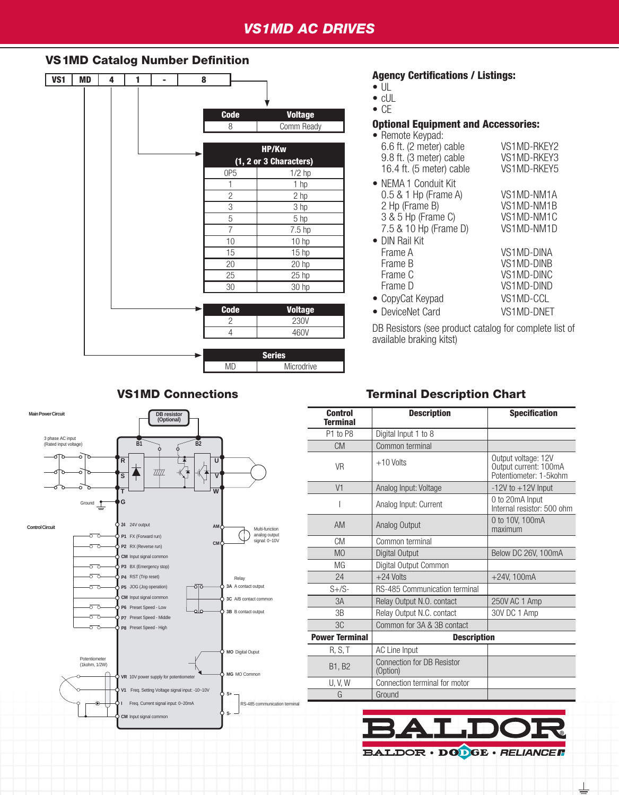# *VS1MD AC DRIVES*

#### VS1MD Catalog Number Definition

| VS1 | <b>MD</b> | 4 | 1 | ۰ | 8 |                 |                        |
|-----|-----------|---|---|---|---|-----------------|------------------------|
|     |           |   |   |   |   |                 |                        |
|     |           |   |   |   |   | <b>Code</b>     | <b>Voltage</b>         |
|     |           |   |   |   |   | 8               | Comm Ready             |
|     |           |   |   |   |   |                 |                        |
|     |           |   |   |   |   |                 | HP/Kw                  |
|     |           |   |   |   |   |                 | (1, 2 or 3 Characters) |
|     |           |   |   |   |   | 0P5             | $1/2$ hp               |
|     |           |   |   |   |   | 1               | 1 hp                   |
|     |           |   |   |   |   | $\overline{c}$  | 2 hp                   |
|     |           |   |   |   |   | $\overline{3}$  | $\overline{3}$ hp      |
|     |           |   |   |   |   | $\overline{5}$  | $\overline{5}$ hp      |
|     |           |   |   |   |   | $\overline{7}$  | 7.5 <sub>hp</sub>      |
|     |           |   |   |   |   | 10              | 10 hp                  |
|     |           |   |   |   |   | 15              | 15 hp                  |
|     |           |   |   |   |   | 20              | 20 hp                  |
|     |           |   |   |   |   | 25              | $25$ hp                |
|     |           |   |   |   |   | $\overline{30}$ | 30 hp                  |
|     |           |   |   |   |   |                 |                        |
|     |           |   |   |   |   | <b>Code</b>     | <b>Voltage</b>         |
|     |           |   |   |   |   | 2               | <b>230V</b>            |
|     |           |   |   |   |   | $\overline{4}$  | 460V                   |
|     |           |   |   |   |   |                 | <b>Series</b>          |
|     |           |   |   |   |   | <b>MD</b>       | Microdrive             |

#### Agency Certifications / Listings:

- $\bullet$  UL
- cUL

• CE

#### Optional Equipment and Accessories:

| VS1MD-RKFY2<br>VS1MD-RKEY3<br>VS1MD-RKEY5                                       |
|---------------------------------------------------------------------------------|
| VS1MD-NM1A<br>VS1MD-NM1B<br>VS1MD-NM1C<br>VS1MD-NM1D                            |
| VS1MD-DINA<br>VS1MD-DINB<br>VS1MD-DINC<br>VS1MD-DIND<br>VS1MD-CCL<br>VS1MD-DNFT |
|                                                                                 |

DB Resistors (see product catalog for complete list of available braking kitst)

## VS1MD Connections Terminal Description Chart

| <b>Control</b><br><b>Terminal</b> | <b>Description</b>                            | <b>Specification</b>                                                   |  |  |
|-----------------------------------|-----------------------------------------------|------------------------------------------------------------------------|--|--|
| P1 to P8                          | Digital Input 1 to 8                          |                                                                        |  |  |
| <b>CM</b>                         | Common terminal                               |                                                                        |  |  |
| <b>VR</b>                         | $+10$ Volts                                   | Output voltage: 12V<br>Output current: 100mA<br>Potentiometer: 1-5kohm |  |  |
| V <sub>1</sub>                    | Analog Input: Voltage                         | $-12V$ to $+12V$ Input                                                 |  |  |
|                                   | Analog Input: Current                         | 0 to 20mA Input<br>Internal resistor: 500 ohm                          |  |  |
| AM                                | Analog Output                                 | 0 to 10V, 100mA<br>maximum                                             |  |  |
| CM                                | Common terminal                               |                                                                        |  |  |
| M <sub>0</sub>                    | Digital Output                                | Below DC 26V, 100mA                                                    |  |  |
| MG                                | Digital Output Common                         |                                                                        |  |  |
| 24                                | $+24$ Volts                                   | $+24V, 100mA$                                                          |  |  |
| $S + /S$                          | <b>RS-485 Communication terminal</b>          |                                                                        |  |  |
| 3A                                | Relay Output N.O. contact                     | 250V AC 1 Amp                                                          |  |  |
| 3B                                | Relay Output N.C. contact                     | 30V DC 1 Amp                                                           |  |  |
| 3C                                | Common for 3A & 3B contact                    |                                                                        |  |  |
| <b>Power Terminal</b>             | <b>Description</b>                            |                                                                        |  |  |
| R, S, T                           | AC Line Input                                 |                                                                        |  |  |
| <b>B1, B2</b>                     | <b>Connection for DB Resistor</b><br>(Option) |                                                                        |  |  |
| <b>U, V, W</b>                    | Connection terminal for motor                 |                                                                        |  |  |
| G                                 | Ground                                        |                                                                        |  |  |
|                                   |                                               |                                                                        |  |  |

BALDOR · DODGE · RELIANCER

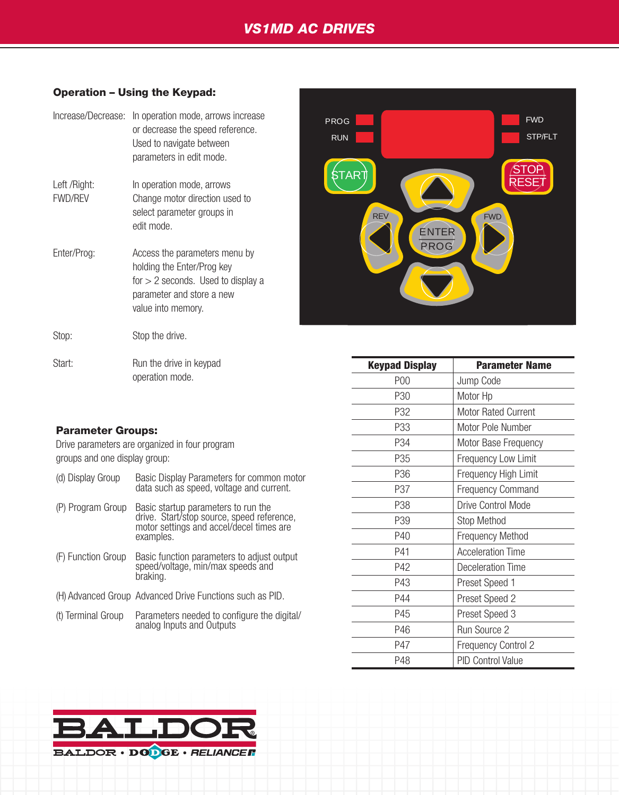#### Operation – Using the Keypad:

| Increase/Decrease:             | In operation mode, arrows increase<br>or decrease the speed reference.<br>Used to navigate between<br>parameters in edit mode.                         |
|--------------------------------|--------------------------------------------------------------------------------------------------------------------------------------------------------|
| Left /Right:<br><b>FWD/REV</b> | In operation mode, arrows<br>Change motor direction used to<br>select parameter groups in<br>edit mode.                                                |
| Enter/Prog:                    | Access the parameters menu by<br>holding the Enter/Prog key<br>for $> 2$ seconds. Used to display a<br>parameter and store a new<br>value into memory. |
| Stop:                          | Stop the drive.                                                                                                                                        |
| Start:                         | Run the drive in keypad<br>operation mode.                                                                                                             |



| Start:                                                                          | Run the drive in keypad                                                           | <b>Keypad Display</b> | <b>Parameter Name</b>      |
|---------------------------------------------------------------------------------|-----------------------------------------------------------------------------------|-----------------------|----------------------------|
|                                                                                 | operation mode.                                                                   | P00                   | Jump Code                  |
|                                                                                 |                                                                                   | P30                   | Motor Hp                   |
|                                                                                 |                                                                                   | P32                   | Motor Rated Current        |
| <b>Parameter Groups:</b>                                                        |                                                                                   | P33                   | Motor Pole Number          |
| Drive parameters are organized in four program<br>groups and one display group: |                                                                                   | P34                   | Motor Base Frequency       |
|                                                                                 |                                                                                   | P35                   | Frequency Low Limit        |
| (d) Display Group                                                               | Basic Display Parameters for common motor                                         | P36                   | Frequency High Limit       |
|                                                                                 | data such as speed, voltage and current.                                          | P37                   | <b>Frequency Command</b>   |
| (P) Program Group                                                               | Basic startup parameters to run the<br>drive. Start/stop source, speed reference, | P38                   | Drive Control Mode         |
|                                                                                 | motor settings and accel/decel times are                                          | P39                   | Stop Method                |
|                                                                                 | examples.                                                                         | P40                   | <b>Frequency Method</b>    |
| (F) Function Group                                                              | Basic function parameters to adjust output                                        | P41                   | <b>Acceleration Time</b>   |
|                                                                                 | speed/voltage, min/max speeds and                                                 | P42                   | Deceleration Time          |
|                                                                                 | braking.                                                                          | P43                   | Preset Speed 1             |
|                                                                                 | (H) Advanced Group Advanced Drive Functions such as PID.                          | P44                   | Preset Speed 2             |
| (t) Terminal Group                                                              | Parameters needed to configure the digital/                                       | P45                   | Preset Speed 3             |
|                                                                                 | analog Inputs and Outputs                                                         | P46                   | Run Source 2               |
|                                                                                 |                                                                                   | P47                   | <b>Frequency Control 2</b> |
|                                                                                 |                                                                                   | P48                   | <b>PID Control Value</b>   |